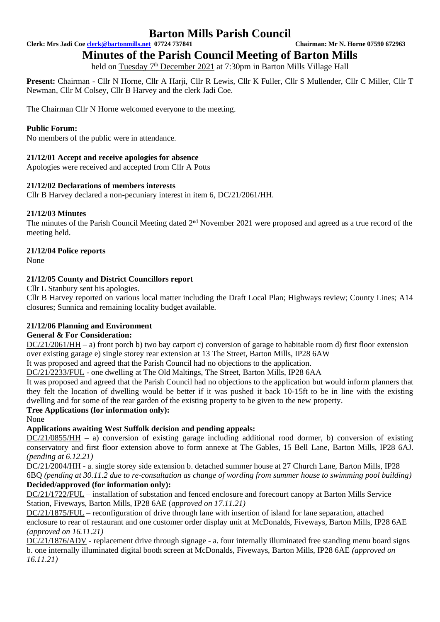**Clerk: Mrs Jadi Coe [clerk@bartonmills.net](mailto:clerk@bartonmills.net) 07724 737841 Chairman: Mr N. Horne 07590 672963**

# **Minutes of the Parish Council Meeting of Barton Mills**

held on Tuesday 7<sup>th</sup> December 2021 at 7:30pm in Barton Mills Village Hall

**Present:** Chairman - Cllr N Horne, Cllr A Harji, Cllr R Lewis, Cllr K Fuller, Cllr S Mullender, Cllr C Miller, Cllr T Newman, Cllr M Colsey, Cllr B Harvey and the clerk Jadi Coe.

The Chairman Cllr N Horne welcomed everyone to the meeting.

## **Public Forum:**

No members of the public were in attendance.

## **21/12/01 Accept and receive apologies for absence**

Apologies were received and accepted from Cllr A Potts

## **21/12/02 Declarations of members interests**

Cllr B Harvey declared a non-pecuniary interest in item 6, DC/21/2061/HH.

## **21/12/03 Minutes**

The minutes of the Parish Council Meeting dated 2<sup>nd</sup> November 2021 were proposed and agreed as a true record of the meeting held.

## **21/12/04 Police reports**

None

## **21/12/05 County and District Councillors report**

Cllr L Stanbury sent his apologies.

Cllr B Harvey reported on various local matter including the Draft Local Plan; Highways review; County Lines; A14 closures; Sunnica and remaining locality budget available.

## **21/12/06 Planning and Environment**

## **General & For Consideration:**

DC/21/2061/HH – a) front porch b) two bay carport c) conversion of garage to habitable room d) first floor extension over existing garage e) single storey rear extension at 13 The Street, Barton Mills, IP28 6AW

It was proposed and agreed that the Parish Council had no objections to the application.

DC/21/2233/FUL - one dwelling at The Old Maltings, The Street, Barton Mills, IP28 6AA

It was proposed and agreed that the Parish Council had no objections to the application but would inform planners that they felt the location of dwelling would be better if it was pushed it back 10-15ft to be in line with the existing dwelling and for some of the rear garden of the existing property to be given to the new property.

## **Tree Applications (for information only):**

None

## **Applications awaiting West Suffolk decision and pending appeals:**

DC/21/0855/HH – a) conversion of existing garage including additional rood dormer, b) conversion of existing conservatory and first floor extension above to form annexe at The Gables, 15 Bell Lane, Barton Mills, IP28 6AJ. *(pending at 6.12.21)*

DC/21/2004/HH - a. single storey side extension b. detached summer house at 27 Church Lane, Barton Mills, IP28 6BQ *(pending at 30.11.2 due to re-consultation as change of wording from summer house to swimming pool building)*

## **Decided/approved (for information only):**

DC/21/1722/FUL – installation of substation and fenced enclosure and forecourt canopy at Barton Mills Service Station, Fiveways, Barton Mills, IP28 6AE (*approved on 17.11.21)*

DC/21/1875/FUL – reconfiguration of drive through lane with insertion of island for lane separation, attached enclosure to rear of restaurant and one customer order display unit at McDonalds, Fiveways, Barton Mills, IP28 6AE *(approved on 16.11.21)*

DC/21/1876/ADV - replacement drive through signage - a. four internally illuminated free standing menu board signs b. one internally illuminated digital booth screen at McDonalds, Fiveways, Barton Mills, IP28 6AE *(approved on 16.11.21)*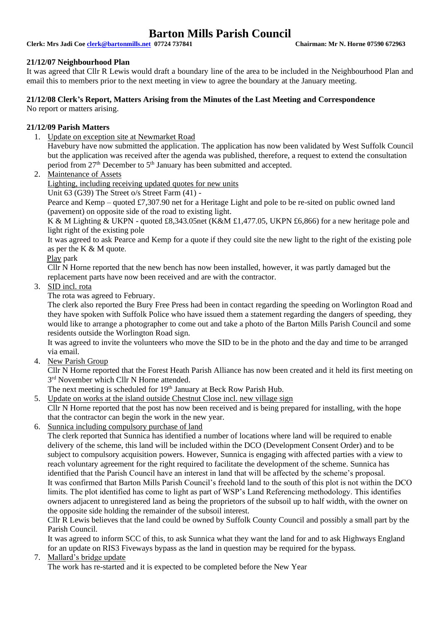**Clerk: Mrs Jadi Coe [clerk@bartonmills.net](mailto:clerk@bartonmills.net) 07724 737841 Chairman: Mr N. Horne 07590 672963**

#### **21/12/07 Neighbourhood Plan**

It was agreed that Cllr R Lewis would draft a boundary line of the area to be included in the Neighbourhood Plan and email this to members prior to the next meeting in view to agree the boundary at the January meeting.

#### **21/12/08 Clerk's Report, Matters Arising from the Minutes of the Last Meeting and Correspondence**

No report or matters arising.

#### **21/12/09 Parish Matters**

1. Update on exception site at Newmarket Road

Havebury have now submitted the application. The application has now been validated by West Suffolk Council but the application was received after the agenda was published, therefore, a request to extend the consultation period from 27<sup>th</sup> December to 5<sup>th</sup> January has been submitted and accepted.

2. Maintenance of Assets

Lighting, including receiving updated quotes for new units

Unit 63 (G39) The Street o/s Street Farm (41) -

Pearce and Kemp – quoted £7,307.90 net for a Heritage Light and pole to be re-sited on public owned land (pavement) on opposite side of the road to existing light.

K & M Lighting & UKPN - quoted £8,343.05net (K&M £1,477.05, UKPN £6,866) for a new heritage pole and light right of the existing pole

It was agreed to ask Pearce and Kemp for a quote if they could site the new light to the right of the existing pole as per the K & M quote.

Play park

Cllr N Horne reported that the new bench has now been installed, however, it was partly damaged but the replacement parts have now been received and are with the contractor.

3. SID incl. rota

The rota was agreed to February.

The clerk also reported the Bury Free Press had been in contact regarding the speeding on Worlington Road and they have spoken with Suffolk Police who have issued them a statement regarding the dangers of speeding, they would like to arrange a photographer to come out and take a photo of the Barton Mills Parish Council and some residents outside the Worlington Road sign.

It was agreed to invite the volunteers who move the SID to be in the photo and the day and time to be arranged via email.

4. New Parish Group

Cllr N Horne reported that the Forest Heath Parish Alliance has now been created and it held its first meeting on 3<sup>rd</sup> November which Cllr N Horne attended.

The next meeting is scheduled for 19<sup>th</sup> January at Beck Row Parish Hub.

5. Update on works at the island outside Chestnut Close incl. new village sign

Cllr N Horne reported that the post has now been received and is being prepared for installing, with the hope that the contractor can begin the work in the new year.

6. Sunnica including compulsory purchase of land

The clerk reported that Sunnica has identified a number of locations where land will be required to enable delivery of the scheme, this land will be included within the DCO (Development Consent Order) and to be subject to compulsory acquisition powers. However, Sunnica is engaging with affected parties with a view to reach voluntary agreement for the right required to facilitate the development of the scheme. Sunnica has identified that the Parish Council have an interest in land that will be affected by the scheme's proposal. It was confirmed that Barton Mills Parish Council's freehold land to the south of this plot is not within the DCO limits. The plot identified has come to light as part of WSP's Land Referencing methodology. This identifies owners adjacent to unregistered land as being the proprietors of the subsoil up to half width, with the owner on the opposite side holding the remainder of the subsoil interest.

Cllr R Lewis believes that the land could be owned by Suffolk County Council and possibly a small part by the Parish Council.

It was agreed to inform SCC of this, to ask Sunnica what they want the land for and to ask Highways England for an update on RIS3 Fiveways bypass as the land in question may be required for the bypass.

7. Mallard's bridge update

The work has re-started and it is expected to be completed before the New Year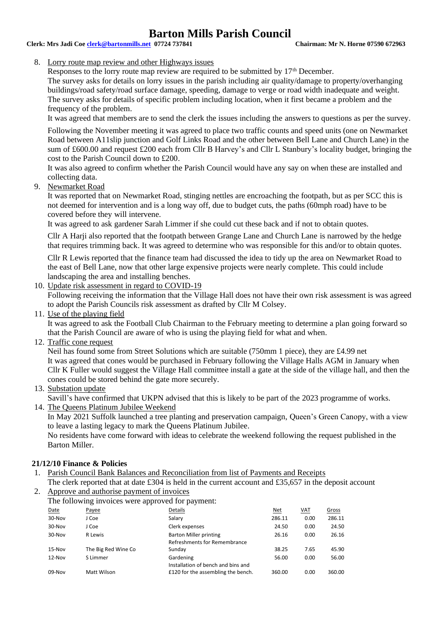## **Clerk: Mrs Jadi Coe [clerk@bartonmills.net](mailto:clerk@bartonmills.net) 07724 737841 Chairman: Mr N. Horne 07590 672963**

#### 8. Lorry route map review and other Highways issues

Responses to the lorry route map review are required to be submitted by 17<sup>th</sup> December.

The survey asks for details on lorry issues in the parish including air quality/damage to property/overhanging buildings/road safety/road surface damage, speeding, damage to verge or road width inadequate and weight. The survey asks for details of specific problem including location, when it first became a problem and the frequency of the problem.

It was agreed that members are to send the clerk the issues including the answers to questions as per the survey.

Following the November meeting it was agreed to place two traffic counts and speed units (one on Newmarket Road between A11slip junction and Golf Links Road and the other between Bell Lane and Church Lane) in the sum of £600.00 and request £200 each from Cllr B Harvey's and Cllr L Stanbury's locality budget, bringing the cost to the Parish Council down to £200.

It was also agreed to confirm whether the Parish Council would have any say on when these are installed and collecting data.

9. Newmarket Road

It was reported that on Newmarket Road, stinging nettles are encroaching the footpath, but as per SCC this is not deemed for intervention and is a long way off, due to budget cuts, the paths (60mph road) have to be covered before they will intervene.

It was agreed to ask gardener Sarah Limmer if she could cut these back and if not to obtain quotes.

Cllr A Harji also reported that the footpath between Grange Lane and Church Lane is narrowed by the hedge that requires trimming back. It was agreed to determine who was responsible for this and/or to obtain quotes.

Cllr R Lewis reported that the finance team had discussed the idea to tidy up the area on Newmarket Road to the east of Bell Lane, now that other large expensive projects were nearly complete. This could include landscaping the area and installing benches.

10. Update risk assessment in regard to COVID-19

Following receiving the information that the Village Hall does not have their own risk assessment is was agreed to adopt the Parish Councils risk assessment as drafted by Cllr M Colsey.

11. Use of the playing field

It was agreed to ask the Football Club Chairman to the February meeting to determine a plan going forward so that the Parish Council are aware of who is using the playing field for what and when.

12. Traffic cone request

Neil has found some from Street Solutions which are suitable (750mm 1 piece), they are £4.99 net It was agreed that cones would be purchased in February following the Village Halls AGM in January when Cllr K Fuller would suggest the Village Hall committee install a gate at the side of the village hall, and then the cones could be stored behind the gate more securely.

13. Substation update

Savill's have confirmed that UKPN advised that this is likely to be part of the 2023 programme of works.

14. The Queens Platinum Jubilee Weekend

In May 2021 Suffolk launched a tree planting and preservation campaign, Queen's Green Canopy, with a view to leave a lasting legacy to mark the Queens Platinum Jubilee.

No residents have come forward with ideas to celebrate the weekend following the request published in the Barton Miller.

## **21/12/10 Finance & Policies**

- 1. Parish Council Bank Balances and Reconciliation from list of Payments and Receipts
- The clerk reported that at date £304 is held in the current account and £35,657 in the deposit account 2. Approve and authorise payment of invoices
- The following invoices were approved for payment:

|        | ັ                   | . . |                                    |            |            |              |
|--------|---------------------|-----|------------------------------------|------------|------------|--------------|
| Date   | Payee               |     | Details                            | <u>Net</u> | <b>VAT</b> | <b>Gross</b> |
| 30-Nov | J Coe               |     | Salarv                             | 286.11     | 0.00       | 286.11       |
| 30-Nov | J Coe               |     | Clerk expenses                     | 24.50      | 0.00       | 24.50        |
| 30-Nov | R Lewis             |     | <b>Barton Miller printing</b>      | 26.16      | 0.00       | 26.16        |
|        |                     |     | Refreshments for Remembrance       |            |            |              |
| 15-Nov | The Big Red Wine Co |     | Sunday                             | 38.25      | 7.65       | 45.90        |
| 12-Nov | S Limmer            |     | Gardening                          | 56.00      | 0.00       | 56.00        |
|        |                     |     | Installation of bench and bins and |            |            |              |
| 09-Nov | Matt Wilson         |     | £120 for the assembling the bench. | 360.00     | 0.00       | 360.00       |
|        |                     |     |                                    |            |            |              |